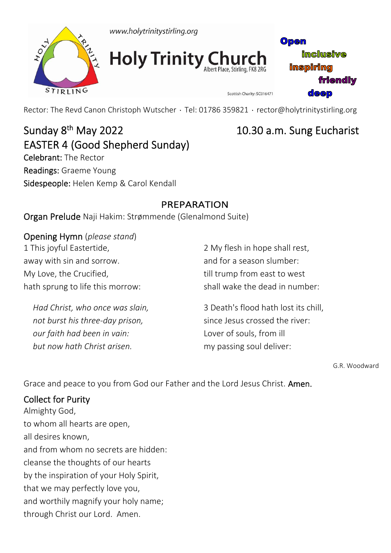



**Holy Trinity Church** 

**imclusive inspiring friendly deep** 

Open

Rector: The Revd Canon Christoph Wutscher · Tel: 01786 359821 · rector@holytrinitystirling.org

# Sunday 8th May 2022 10.30 a.m. Sung Eucharist EASTER 4 (Good Shepherd Sunday)

Celebrant: The Rector Readings: Graeme Young Sidespeople: Helen Kemp & Carol Kendall

# PREPARATION

Organ Prelude Naji Hakim: Strømmende (Glenalmond Suite)

### Opening Hymn (*please stand*)

1 This joyful Eastertide, away with sin and sorrow. My Love, the Crucified, hath sprung to life this morrow:

*Had Christ, who once was slain, not burst his three‐day prison, our faith had been in vain: but now hath Christ arisen.* 

2 My flesh in hope shall rest, and for a season slumber: till trump from east to west shall wake the dead in number:

Scottish Charity: SC016471

3 Death's flood hath lost its chill, since Jesus crossed the river: Lover of souls, from ill my passing soul deliver:

G.R. Woodward

Grace and peace to you from God our Father and the Lord Jesus Christ. Amen.

### Collect for Purity

Almighty God, to whom all hearts are open, all desires known, and from whom no secrets are hidden: cleanse the thoughts of our hearts by the inspiration of your Holy Spirit, that we may perfectly love you, and worthily magnify your holy name; through Christ our Lord. Amen.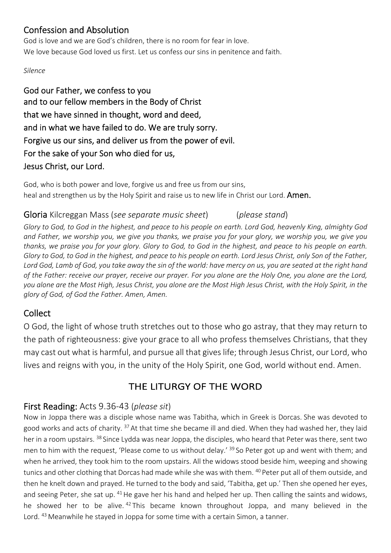### Confession and Absolution

God is love and we are God's children, there is no room for fear in love. We love because God loved us first. Let us confess our sins in penitence and faith.

#### *Silence*

God our Father, we confess to you and to our fellow members in the Body of Christ that we have sinned in thought, word and deed, and in what we have failed to do. We are truly sorry. Forgive us our sins, and deliver us from the power of evil. For the sake of your Son who died for us, Jesus Christ, our Lord.

God, who is both power and love, forgive us and free us from our sins, heal and strengthen us by the Holy Spirit and raise us to new life in Christ our Lord. **Amen.** 

#### Gloria Kilcreggan Mass (*see separate music sheet*) (*please stand*)

*Glory to God, to God in the highest, and peace to his people on earth. Lord God, heavenly King, almighty God and Father, we worship you, we give you thanks, we praise you for your glory, we worship you, we give you thanks, we praise you for your glory. Glory to God, to God in the highest, and peace to his people on earth. Glory to God, to God in the highest, and peace to his people on earth. Lord Jesus Christ, only Son of the Father, Lord God, Lamb of God, you take away the sin of the world: have mercy on us, you are seated at the right hand of the Father: receive our prayer, receive our prayer. For you alone are the Holy One, you alone are the Lord, you alone are the Most High, Jesus Christ, you alone are the Most High Jesus Christ, with the Holy Spirit, in the glory of God, of God the Father. Amen, Amen.*

### Collect

O God, the light of whose truth stretches out to those who go astray, that they may return to the path of righteousness: give your grace to all who profess themselves Christians, that they may cast out what is harmful, and pursue all that gives life; through Jesus Christ, our Lord, who lives and reigns with you, in the unity of the Holy Spirit, one God, world without end. Amen.

### THE LITURGY OF THE WORD

#### First Reading: Acts 9.36‐43 (*please sit*)

Now in Joppa there was a disciple whose name was Tabitha, which in Greek is Dorcas. She was devoted to good works and acts of charity. 37 At that time she became ill and died. When they had washed her, they laid her in a room upstairs. <sup>38</sup> Since Lydda was near Joppa, the disciples, who heard that Peter was there, sent two men to him with the request, 'Please come to us without delay.' <sup>39</sup> So Peter got up and went with them; and when he arrived, they took him to the room upstairs. All the widows stood beside him, weeping and showing tunics and other clothing that Dorcas had made while she was with them. <sup>40</sup> Peter put all of them outside, and then he knelt down and prayed. He turned to the body and said, 'Tabitha, get up.' Then she opened her eyes, and seeing Peter, she sat up. <sup>41</sup> He gave her his hand and helped her up. Then calling the saints and widows, he showed her to be alive. <sup>42</sup> This became known throughout Joppa, and many believed in the Lord. 43 Meanwhile he stayed in Joppa for some time with a certain Simon, a tanner.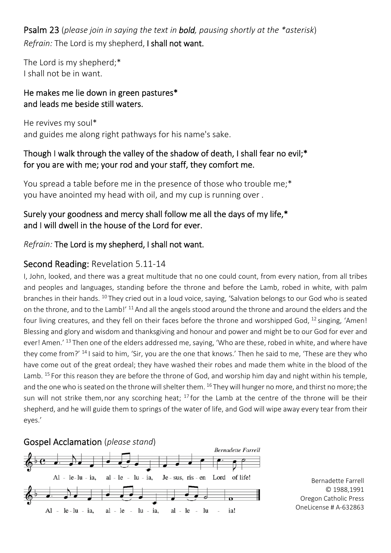Psalm 23 (*please join in saying the text in bold, pausing shortly at the \*asterisk*) *Refrain:* The Lord is my shepherd, I shall not want.

The Lord is my shepherd;\* I shall not be in want.

#### He makes me lie down in green pastures\* and leads me beside still waters.

He revives my soul\* and guides me along right pathways for his name's sake.

#### Though I walk through the valley of the shadow of death, I shall fear no evil;\* for you are with me; your rod and your staff, they comfort me.

You spread a table before me in the presence of those who trouble me;\* you have anointed my head with oil, and my cup is running over .

### Surely your goodness and mercy shall follow me all the days of my life,\* and I will dwell in the house of the Lord for ever.

### *Refrain:* The Lord is my shepherd, I shall not want.

### Second Reading: Revelation 5.11‐14

I, John, looked, and there was a great multitude that no one could count, from every nation, from all tribes and peoples and languages, standing before the throne and before the Lamb, robed in white, with palm branches in their hands. 10 They cried out in a loud voice, saying, 'Salvation belongs to our God who is seated on the throne, and to the Lamb!' <sup>11</sup> And all the angels stood around the throne and around the elders and the four living creatures, and they fell on their faces before the throne and worshipped God, <sup>12</sup> singing, 'Amen! Blessing and glory and wisdom and thanksgiving and honour and power and might be to our God for ever and ever! Amen.' 13 Then one of the elders addressed me, saying, 'Who are these, robed in white, and where have they come from?' 14 I said to him, 'Sir, you are the one that knows.' Then he said to me, 'These are they who have come out of the great ordeal; they have washed their robes and made them white in the blood of the Lamb. <sup>15</sup> For this reason they are before the throne of God, and worship him day and night within his temple, and the one who is seated on the throne will shelter them. <sup>16</sup> They will hunger no more, and thirst no more; the sun will not strike them, nor any scorching heat;  $^{17}$  for the Lamb at the centre of the throne will be their shepherd, and he will guide them to springs of the water of life, and God will wipe away every tear from their eyes.'





Bernadette Farrell © 1988,1991 Oregon Catholic Press OneLicense # A‐632863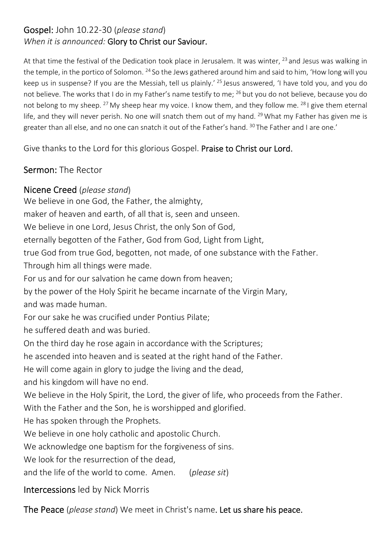#### Gospel: John 10.22‐30 (*please stand*) *When it is announced:* Glory to Christ our Saviour.

At that time the festival of the Dedication took place in Jerusalem. It was winter, <sup>23</sup> and Jesus was walking in the temple, in the portico of Solomon. 24 So the Jews gathered around him and said to him, 'How long will you keep us in suspense? If you are the Messiah, tell us plainly.' 25 Jesus answered, 'I have told you, and you do not believe. The works that I do in my Father's name testify to me; <sup>26</sup> but you do not believe, because you do not belong to my sheep. <sup>27</sup> My sheep hear my voice. I know them, and they follow me. <sup>28</sup> I give them eternal life, and they will never perish. No one will snatch them out of my hand. <sup>29</sup> What my Father has given me is greater than all else, and no one can snatch it out of the Father's hand. <sup>30</sup> The Father and I are one.'

Give thanks to the Lord for this glorious Gospel. Praise to Christ our Lord.

### Sermon: The Rector

### Nicene Creed (*please stand*)

We believe in one God, the Father, the almighty,

maker of heaven and earth, of all that is, seen and unseen.

We believe in one Lord, Jesus Christ, the only Son of God,

eternally begotten of the Father, God from God, Light from Light,

true God from true God, begotten, not made, of one substance with the Father.

Through him all things were made.

For us and for our salvation he came down from heaven;

by the power of the Holy Spirit he became incarnate of the Virgin Mary,

and was made human.

For our sake he was crucified under Pontius Pilate;

he suffered death and was buried.

On the third day he rose again in accordance with the Scriptures;

he ascended into heaven and is seated at the right hand of the Father.

He will come again in glory to judge the living and the dead,

and his kingdom will have no end.

We believe in the Holy Spirit, the Lord, the giver of life, who proceeds from the Father. With the Father and the Son, he is worshipped and glorified.

He has spoken through the Prophets.

We believe in one holy catholic and apostolic Church.

We acknowledge one baptism for the forgiveness of sins.

We look for the resurrection of the dead,

and the life of the world to come. Amen. (*please sit*)

# Intercessions led by Nick Morris

The Peace (*please stand*) We meet in Christ's name.Let us share his peace.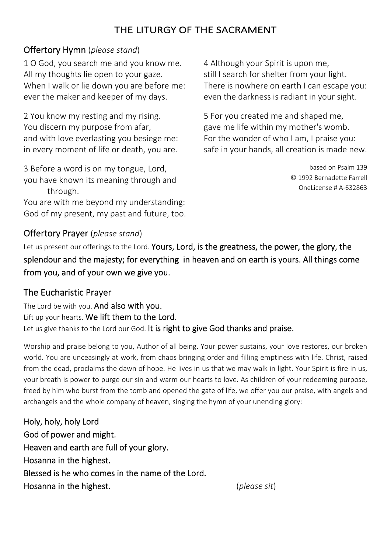### THE LITURGY OF THE SACRAMENT

### Offertory Hymn (*please stand*)

1 O God, you search me and you know me. All my thoughts lie open to your gaze. When I walk or lie down you are before me: ever the maker and keeper of my days.

2 You know my resting and my rising. You discern my purpose from afar, and with love everlasting you besiege me: in every moment of life or death, you are.

3 Before a word is on my tongue, Lord, you have known its meaning through and through.

You are with me beyond my understanding: God of my present, my past and future, too. 4 Although your Spirit is upon me, still I search for shelter from your light. There is nowhere on earth I can escape you: even the darkness is radiant in your sight.

5 For you created me and shaped me, gave me life within my mother's womb. For the wonder of who I am, I praise you: safe in your hands, all creation is made new.

> based on Psalm 139 © 1992 Bernadette Farrell OneLicense # A‐632863

### Offertory Prayer (*please stand*)

Let us present our offerings to the Lord. Yours, Lord, is the greatness, the power, the glory, the splendour and the majesty; for everything in heaven and on earth is yours. All things come from you, and of your own we give you.

### The Eucharistic Prayer

The Lord be with you. And also with you. Lift up your hearts. We lift them to the Lord. Let us give thanks to the Lord our God. It is right to give God thanks and praise.

Worship and praise belong to you, Author of all being. Your power sustains, your love restores, our broken world. You are unceasingly at work, from chaos bringing order and filling emptiness with life. Christ, raised from the dead, proclaims the dawn of hope. He lives in us that we may walk in light. Your Spirit is fire in us, your breath is power to purge our sin and warm our hearts to love. As children of your redeeming purpose, freed by him who burst from the tomb and opened the gate of life, we offer you our praise, with angels and archangels and the whole company of heaven, singing the hymn of your unending glory:

Holy, holy, holy Lord God of power and might. Heaven and earth are full of your glory. Hosanna in the highest. Blessed is he who comes in the name of the Lord. Hosanna in the highest. (*please sit*)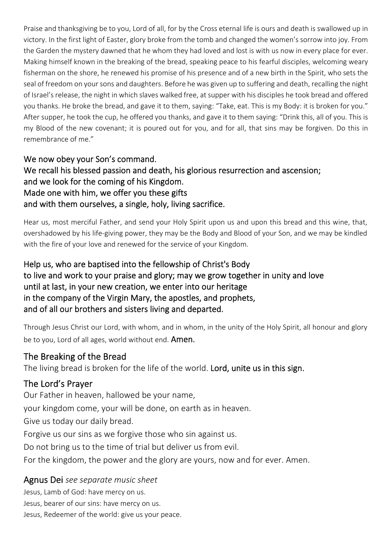Praise and thanksgiving be to you, Lord of all, for by the Cross eternal life is ours and death is swallowed up in victory. In the first light of Easter, glory broke from the tomb and changed the women's sorrow into joy. From the Garden the mystery dawned that he whom they had loved and lost is with us now in every place for ever. Making himself known in the breaking of the bread, speaking peace to his fearful disciples, welcoming weary fisherman on the shore, he renewed his promise of his presence and of a new birth in the Spirit, who sets the seal of freedom on your sons and daughters. Before he was given up to suffering and death, recalling the night of Israel's release, the night in which slaves walked free, at supper with his disciples he took bread and offered you thanks. He broke the bread, and gave it to them, saying: "Take, eat. This is my Body: it is broken for you." After supper, he took the cup, he offered you thanks, and gave it to them saying: "Drink this, all of you. This is my Blood of the new covenant; it is poured out for you, and for all, that sins may be forgiven. Do this in remembrance of me."

#### We now obey your Son's command. We recall his blessed passion and death, his glorious resurrection and ascension; and we look for the coming of his Kingdom. Made one with him, we offer you these gifts and with them ourselves, a single, holy, living sacrifice.

Hear us, most merciful Father, and send your Holy Spirit upon us and upon this bread and this wine, that, overshadowed by his life‐giving power, they may be the Body and Blood of your Son, and we may be kindled with the fire of your love and renewed for the service of your Kingdom.

Help us, who are baptised into the fellowship of Christ's Body to live and work to your praise and glory; may we grow together in unity and love until at last, in your new creation, we enter into our heritage in the company of the Virgin Mary, the apostles, and prophets, and of all our brothers and sisters living and departed.

Through Jesus Christ our Lord, with whom, and in whom, in the unity of the Holy Spirit, all honour and glory be to you, Lord of all ages, world without end. Amen.

### The Breaking of the Bread

The living bread is broken for the life of the world. Lord, unite us in this sign.

### The Lord's Prayer

Our Father in heaven, hallowed be your name, your kingdom come, your will be done, on earth as in heaven. Give us today our daily bread. Forgive us our sins as we forgive those who sin against us. Do not bring us to the time of trial but deliver us from evil. For the kingdom, the power and the glory are yours, now and for ever. Amen.

### Agnus Dei *see separate music sheet*

Jesus, Lamb of God: have mercy on us. Jesus, bearer of our sins: have mercy on us. Jesus, Redeemer of the world: give us your peace.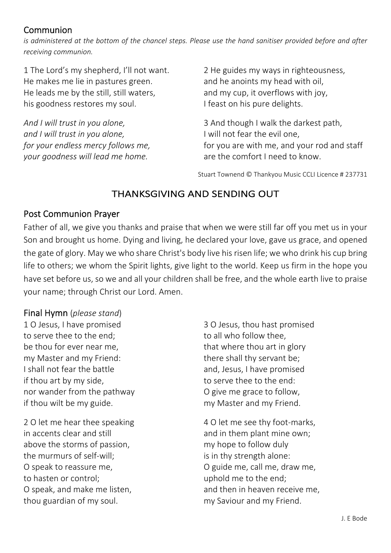### **Communion**

*is administered at the bottom of the chancel steps. Please use the hand sanitiser provided before and after receiving communion.* 

1 The Lord's my shepherd, I'll not want. He makes me lie in pastures green. He leads me by the still, still waters, his goodness restores my soul.

*And I will trust in you alone, and I will trust in you alone, for your endless mercy follows me, your goodness will lead me home.* 

2 He guides my ways in righteousness, and he anoints my head with oil, and my cup, it overflows with joy, I feast on his pure delights.

3 And though I walk the darkest path, I will not fear the evil one, for you are with me, and your rod and staff are the comfort I need to know.

Stuart Townend © Thankyou Music CCLI Licence # 237731

## THANKSGIVING AND SENDING OUT

### Post Communion Prayer

Father of all, we give you thanks and praise that when we were still far off you met us in your Son and brought us home. Dying and living, he declared your love, gave us grace, and opened the gate of glory. May we who share Christ's body live his risen life; we who drink his cup bring life to others; we whom the Spirit lights, give light to the world. Keep us firm in the hope you have set before us, so we and all your children shall be free, and the whole earth live to praise your name; through Christ our Lord. Amen.

#### Final Hymn (*please stand*)

1 O Jesus, I have promised to serve thee to the end; be thou for ever near me, my Master and my Friend: I shall not fear the battle if thou art by my side, nor wander from the pathway if thou wilt be my guide.

2 O let me hear thee speaking in accents clear and still above the storms of passion, the murmurs of self‐will; O speak to reassure me, to hasten or control; O speak, and make me listen, thou guardian of my soul.

3 O Jesus, thou hast promised to all who follow thee, that where thou art in glory there shall thy servant be; and, Jesus, I have promised to serve thee to the end: O give me grace to follow, my Master and my Friend.

4 O let me see thy foot-marks, and in them plant mine own; my hope to follow duly is in thy strength alone: O guide me, call me, draw me, uphold me to the end; and then in heaven receive me, my Saviour and my Friend.